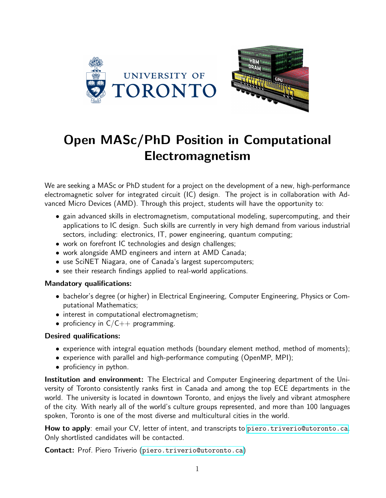

## Open MASc/PhD Position in Computational Electromagnetism

We are seeking a MASc or PhD student for a project on the development of a new, high-performance electromagnetic solver for integrated circuit (IC) design. The project is in collaboration with Advanced Micro Devices (AMD). Through this project, students will have the opportunity to:

- gain advanced skills in electromagnetism, computational modeling, supercomputing, and their applications to IC design. Such skills are currently in very high demand from various industrial sectors, including: electronics, IT, power engineering, quantum computing;
- work on forefront IC technologies and design challenges;
- work alongside AMD engineers and intern at AMD Canada;
- use SciNET Niagara, one of Canada's largest supercomputers;
- see their research findings applied to real-world applications.

## Mandatory qualifications:

- bachelor's degree (or higher) in Electrical Engineering, Computer Engineering, Physics or Computational Mathematics;
- interest in computational electromagnetism;
- proficiency in  $C/C++$  programming.

## Desired qualifications:

- experience with integral equation methods (boundary element method, method of moments);
- experience with parallel and high-performance computing (OpenMP, MPI);
- proficiency in python.

Institution and environment: The Electrical and Computer Engineering department of the University of Toronto consistently ranks first in Canada and among the top ECE departments in the world. The university is located in downtown Toronto, and enjoys the lively and vibrant atmosphere of the city. With nearly all of the world's culture groups represented, and more than 100 languages spoken, Toronto is one of the most diverse and multicultural cities in the world.

How to apply: email your CV, letter of intent, and transcripts to [piero.triverio@utoronto.ca](mailto:piero.triverio@utoronto.ca). Only shortlisted candidates will be contacted.

Contact: Prof. Piero Triverio ([piero.triverio@utoronto.ca](mailto:piero.triverio@utoronto.ca))